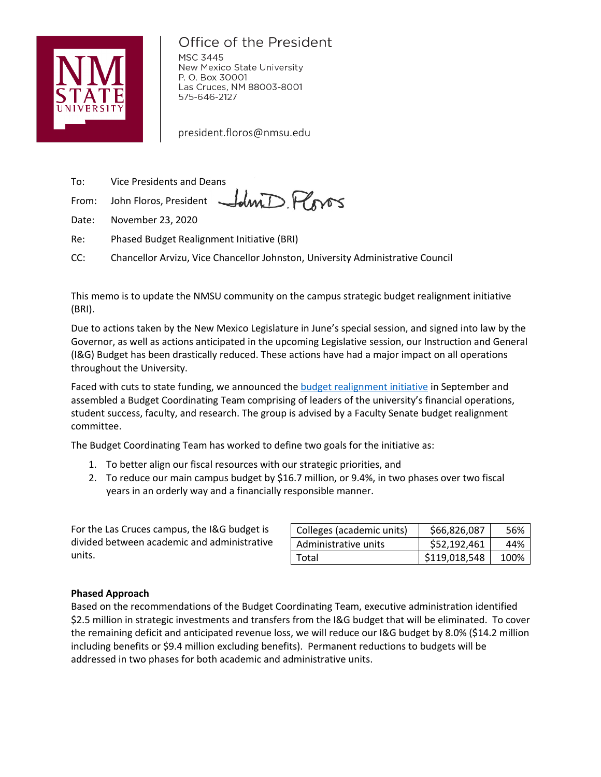

# Office of the President

**MSC 3445** New Mexico State University P. O. Box 30001 Las Cruces, NM 88003-8001 575-646-2127

president.floros@nmsu.edu

To: Vice Presidents and Deans

From: John Floros, President

Date: November 23, 2020

Re: Phased Budget Realignment Initiative (BRI)

CC: Chancellor Arvizu, Vice Chancellor Johnston, University Administrative Council

This memo is to update the NMSU community on the campus strategic budget realignment initiative (BRI).

Idmi Ploros

Due to actions taken by the New Mexico Legislature in June's special session, and signed into law by the Governor, as well as actions anticipated in the upcoming Legislative session, our Instruction and General (I&G) Budget has been drastically reduced. These actions have had a major impact on all operations throughout the University.

Faced with cuts to state funding, we announced the budget realignment initiative in September and assembled a Budget Coordinating Team comprising of leaders of the university's financial operations, student success, faculty, and research. The group is advised by a Faculty Senate budget realignment committee.

The Budget Coordinating Team has worked to define two goals for the initiative as:

- 1. To better align our fiscal resources with our strategic priorities, and
- 2. To reduce our main campus budget by \$16.7 million, or 9.4%, in two phases over two fiscal years in an orderly way and a financially responsible manner.

For the Las Cruces campus, the I&G budget is divided between academic and administrative units.

| Colleges (academic units) | \$66,826,087  | 56%  |
|---------------------------|---------------|------|
| Administrative units      | \$52,192,461  | 44%  |
| Total                     | \$119,018,548 | 100% |

## **Phased Approach**

Based on the recommendations of the Budget Coordinating Team, executive administration identified \$2.5 million in strategic investments and transfers from the I&G budget that will be eliminated. To cover the remaining deficit and anticipated revenue loss, we will reduce our I&G budget by 8.0% (\$14.2 million including benefits or \$9.4 million excluding benefits). Permanent reductions to budgets will be addressed in two phases for both academic and administrative units.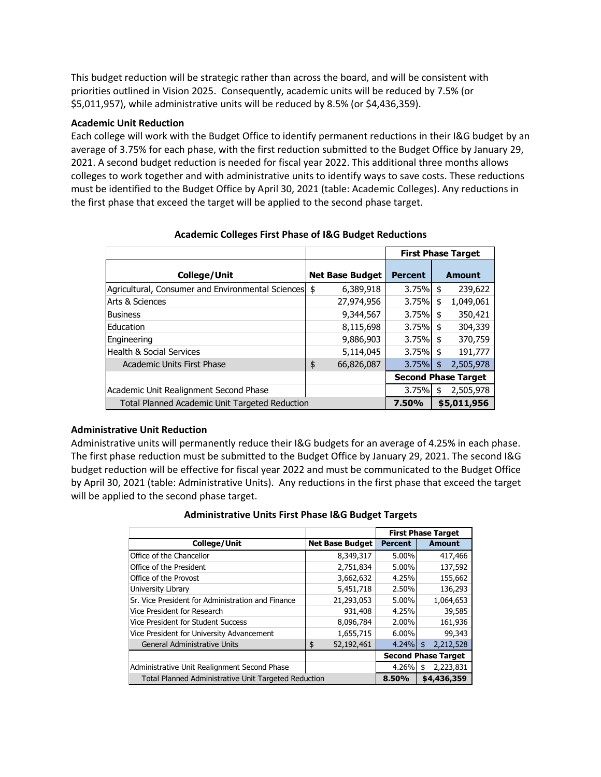This budget reduction will be strategic rather than across the board, and will be consistent with priorities outlined in Vision 2025. Consequently, academic units will be reduced by 7.5% (or \$5,011,957), while administrative units will be reduced by 8.5% (or \$4,436,359).

#### **Academic Unit Reduction**

Each college will work with the Budget Office to identify permanent reductions in their I&G budget by an average of 3.75% for each phase, with the first reduction submitted to the Budget Office by January 29, 2021. A second budget reduction is needed for fiscal year 2022. This additional three months allows colleges to work together and with administrative units to identify ways to save costs. These reductions must be identified to the Budget Office by April 30, 2021 (table: Academic Colleges). Any reductions in the first phase that exceed the target will be applied to the second phase target.

|                                                   |                        |                | <b>First Phase Target</b>  |  |
|---------------------------------------------------|------------------------|----------------|----------------------------|--|
| <b>College/Unit</b>                               | <b>Net Base Budget</b> | <b>Percent</b> | Amount                     |  |
| Agricultural, Consumer and Environmental Sciences | \$<br>6,389,918        | 3.75%          | 239,622<br>\$              |  |
| <b>Arts &amp; Sciences</b>                        | 27,974,956             | 3.75%          | \$<br>1,049,061            |  |
| <b>Business</b>                                   | 9,344,567              | 3.75%          | \$<br>350,421              |  |
| Education                                         | 8,115,698              | 3.75%          | \$<br>304,339              |  |
| Engineering                                       | 9,886,903              | 3.75%          | 370,759<br>\$              |  |
| <b>Health &amp; Social Services</b>               | 5,114,045              | 3.75%          | 191,777<br>\$              |  |
| Academic Units First Phase                        | \$<br>66,826,087       | 3.75%          | 2,505,978<br>\$            |  |
|                                                   |                        |                | <b>Second Phase Target</b> |  |
| Academic Unit Realignment Second Phase            |                        | 3.75%          | 2,505,978<br>\$            |  |
| Total Planned Academic Unit Targeted Reduction    |                        | 7.50%          | \$5,011,956                |  |

## **Academic Colleges First Phase of I&G Budget Reductions**

### **Administrative Unit Reduction**

Administrative units will permanently reduce their I&G budgets for an average of 4.25% in each phase. The first phase reduction must be submitted to the Budget Office by January 29, 2021. The second I&G budget reduction will be effective for fiscal year 2022 and must be communicated to the Budget Office by April 30, 2021 (table: Administrative Units). Any reductions in the first phase that exceed the target will be applied to the second phase target.

### **Administrative Units First Phase I&G Budget Targets**

|                                                             |                        | <b>First Phase Target</b>  |                 |
|-------------------------------------------------------------|------------------------|----------------------------|-----------------|
| College/Unit                                                | <b>Net Base Budget</b> | <b>Percent</b>             | Amount          |
| Office of the Chancellor                                    | 8,349,317              | 5.00%                      | 417,466         |
| Office of the President                                     | 2,751,834              | 5.00%                      | 137,592         |
| Office of the Provost                                       | 3,662,632              | 4.25%                      | 155,662         |
| University Library                                          | 5,451,718              | 2.50%                      | 136,293         |
| Sr. Vice President for Administration and Finance           | 21,293,053             | 5.00%                      | 1,064,653       |
| Vice President for Research                                 | 931,408                | 4.25%                      | 39,585          |
| Vice President for Student Success                          | 8,096,784              | 2.00%                      | 161,936         |
| Vice President for University Advancement                   | 1,655,715              | 6.00%                      | 99,343          |
| <b>General Administrative Units</b>                         | 52,192,461<br>\$       | $4.24\%$                   | 2,212,528<br>\$ |
|                                                             |                        | <b>Second Phase Target</b> |                 |
| Administrative Unit Realignment Second Phase                |                        | 4.26%                      | 2,223,831<br>\$ |
| <b>Total Planned Administrative Unit Targeted Reduction</b> |                        | 8.50%                      | \$4,436,359     |